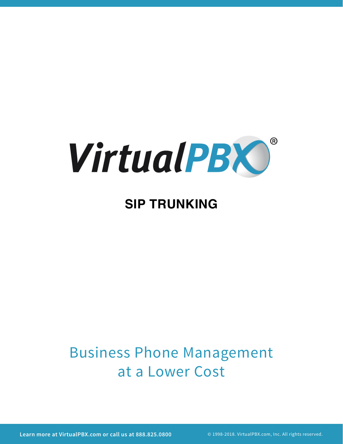

# **SIP TRUNKING**

# Business Phone Management at a Lower Cost

**Learn more at VirtualPBX.com or call us at 888.825.0800** © 1998-2018. VirtualPBX.com, Inc. All rights reserved.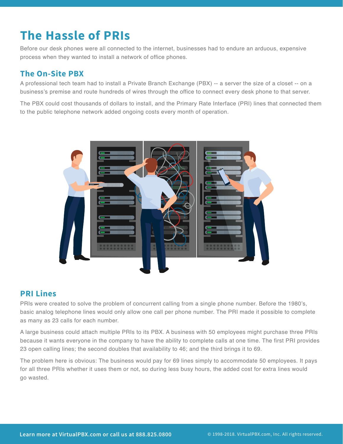## **The Hassle of PRIs**

Before our desk phones were all connected to the internet, businesses had to endure an arduous, expensive process when they wanted to install a network of office phones.

#### **The On-Site PBX**

A professional tech team had to install a Private Branch Exchange (PBX) -- a server the size of a closet -- on a business's premise and route hundreds of wires through the office to connect every desk phone to that server.

The PBX could cost thousands of dollars to install, and the Primary Rate Interface (PRI) lines that connected them to the public telephone network added ongoing costs every month of operation.



#### **PRI Lines**

PRIs were created to solve the problem of concurrent calling from a single phone number. Before the 1980's, basic analog telephone lines would only allow one call per phone number. The PRI made it possible to complete as many as 23 calls for each number.

A large business could attach multiple PRIs to its PBX. A business with 50 employees might purchase three PRIs because it wants everyone in the company to have the ability to complete calls at one time. The first PRI provides 23 open calling lines; the second doubles that availability to 46; and the third brings it to 69.

The problem here is obvious: The business would pay for 69 lines simply to accommodate 50 employees. It pays for all three PRIs whether it uses them or not, so during less busy hours, the added cost for extra lines would go wasted.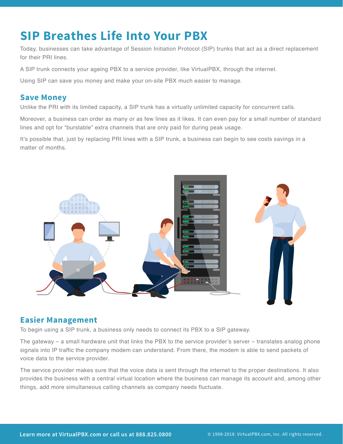### **SIP Breathes Life Into Your PBX**

Today, businesses can take advantage of Session Initiation Protocol (SIP) trunks that act as a direct replacement for their PRI lines.

A SIP trunk connects your ageing PBX to a service provider, like VirtualPBX, through the internet.

Using SIP can save you money and make your on-site PBX much easier to manage.

#### **Save Money**

Unlike the PRI with its limited capacity, a SIP trunk has a virtually unlimited capacity for concurrent calls.

Moreover, a business can order as many or as few lines as it likes. It can even pay for a small number of standard lines and opt for "burstable" extra channels that are only paid for during peak usage.

It's possible that, just by replacing PRI lines with a SIP trunk, a business can begin to see costs savings in a matter of months.



#### **Easier Management**

To begin using a SIP trunk, a business only needs to connect its PBX to a SIP gateway.

The gateway – a small hardware unit that links the PBX to the service provider's server – translates analog phone signals into IP traffic the company modem can understand. From there, the modem is able to send packets of voice data to the service provider.

The service provider makes sure that the voice data is sent through the internet to the proper destinations. It also provides the business with a central virtual location where the business can manage its account and, among other things, add more simultaneous calling channels as company needs fluctuate.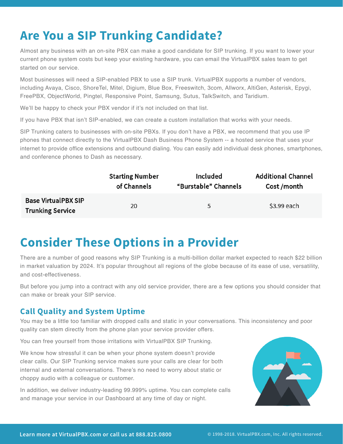### **Are You a SIP Trunking Candidate?**

Almost any business with an on-site PBX can make a good candidate for SIP trunking. If you want to lower your current phone system costs but keep your existing hardware, you can email the VirtualPBX sales team to get started on our service.

Most businesses will need a SIP-enabled PBX to use a SIP trunk. VirtualPBX supports a number of vendors, including Avaya, Cisco, ShoreTel, Mitel, Digium, Blue Box, Freeswitch, 3com, Allworx, AltiGen, Asterisk, Epygi, FreePBX, ObjectWorld, Pingtel, Responsive Point, Samsung, Sutus, TalkSwitch, and Taridium.

We'll be happy to check your PBX vendor if it's not included on that list.

If you have PBX that isn't SIP-enabled, we can create a custom installation that works with your needs.

SIP Trunking caters to businesses with on-site PBXs. If you don't have a PBX, we recommend that you use IP phones that connect directly to the VirtualPBX Dash Business Phone System -- a hosted service that uses your internet to provide office extensions and outbound dialing. You can easily add individual desk phones, smartphones, and conference phones to Dash as necessary.

|                                                       | <b>Starting Number</b> | Included             | <b>Additional Channel</b> |
|-------------------------------------------------------|------------------------|----------------------|---------------------------|
|                                                       | of Channels            | "Burstable" Channels | Cost /month               |
| <b>Base VirtualPBX SIP</b><br><b>Trunking Service</b> | 20                     | 5                    | \$3.99 each               |

### **Consider These Options in a Provider**

There are a number of good reasons why SIP Trunking is a multi-billion dollar market expected to reach \$22 billion in market valuation by 2024. It's popular throughout all regions of the globe because of its ease of use, versatility, and cost-effectiveness.

But before you jump into a contract with any old service provider, there are a few options you should consider that can make or break your SIP service.

#### **Call Quality and System Uptime**

You may be a little too familiar with dropped calls and static in your conversations. This inconsistency and poor quality can stem directly from the phone plan your service provider offers.

You can free yourself from those irritations with VirtualPBX SIP Trunking.

We know how stressful it can be when your phone system doesn't provide clear calls. Our SIP Trunking service makes sure your calls are clear for both internal and external conversations. There's no need to worry about static or choppy audio with a colleague or customer.

In addition, we deliver industry-leading 99.999% uptime. You can complete calls and manage your service in our Dashboard at any time of day or night.

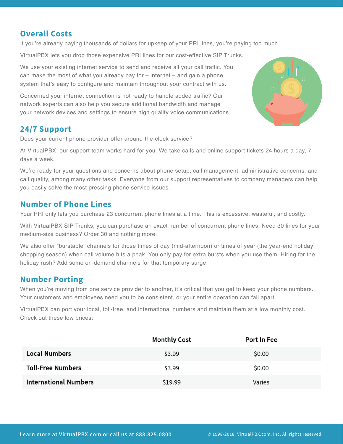#### **Overall Costs**

If you're already paying thousands of dollars for upkeep of your PRI lines, you're paying too much.

VirtualPBX lets you drop those expensive PRI lines for our cost-effective SIP Trunks.

We use your existing internet service to send and receive all your call traffic. You can make the most of what you already pay for – internet – and gain a phone system that's easy to configure and maintain throughout your contract with us.

Concerned your internet connection is not ready to handle added traffic? Our network experts can also help you secure additional bandwidth and manage your network devices and settings to ensure high quality voice communications.



Does your current phone provider offer around-the-clock service?

At VirtualPBX, our support team works hard for you. We take calls and online support tickets 24 hours a day, 7 days a week.

We're ready for your questions and concerns about phone setup, call management, administrative concerns, and call quality, among many other tasks. Everyone from our support representatives to company managers can help you easily solve the most pressing phone service issues.

#### **Number of Phone Lines**

Your PRI only lets you purchase 23 concurrent phone lines at a time. This is excessive, wasteful, and costly.

With VirtualPBX SIP Trunks, you can purchase an exact number of concurrent phone lines. Need 30 lines for your medium-size business? Order 30 and nothing more.

We also offer "burstable" channels for those times of day (mid-afternoon) or times of year (the year-end holiday shopping season) when call volume hits a peak. You only pay for extra bursts when you use them. Hiring for the holiday rush? Add some on-demand channels for that temporary surge.

#### **Number Porting**

When you're moving from one service provider to another, it's critical that you get to keep your phone numbers. Your customers and employees need you to be consistent, or your entire operation can fall apart.

VirtualPBX can port your local, toll-free, and international numbers and maintain them at a low monthly cost. Check out these low prices:

|                              | <b>Monthly Cost</b> | Port In Fee |  |
|------------------------------|---------------------|-------------|--|
| <b>Local Numbers</b>         | \$3.99              | \$0.00      |  |
| <b>Toll-Free Numbers</b>     | \$3.99              | \$0.00      |  |
| <b>International Numbers</b> | \$19.99             | Varies      |  |

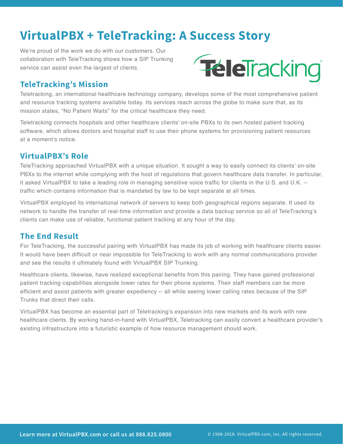### **VirtualPBX + TeleTracking: A Success Story**

We're proud of the work we do with our customers. Our collaboration with TeleTracking shows how a SIP Trunking service can assist even the largest of clients.



#### **TeleTracking's Mission**

Teletracking, an international healthcare technology company, develops some of the most comprehensive patient and resource tracking systems available today. Its services reach across the globe to make sure that, as its mission states, "No Patient Waits" for the critical healthcare they need.

Teletracking connects hospitals and other healthcare clients' on-site PBXs to its own hosted patient tracking software, which allows doctors and hospital staff to use their phone systems for provisioning patient resources at a moment's notice.

#### **VirtualPBX's Role**

TeleTracking approached VirtualPBX with a unique situation. It sought a way to easily connect its clients' on-site PBXs to the internet while complying with the host of regulations that govern healthcare data transfer. In particular, it asked VirtualPBX to take a leading role in managing sensitive voice traffic for clients in the U.S. and U.K. - traffic which contains information that is mandated by law to be kept separate at all times.

VirtualPBX employed its international network of servers to keep both geographical regions separate. It used its network to handle the transfer of real-time information and provide a data backup service so all of TeleTracking's clients can make use of reliable, functional patient tracking at any hour of the day.

#### **The End Result**

For TeleTracking, the successful pairing with VirtualPBX has made its job of working with healthcare clients easier. It would have been difficult or near impossible for TeleTracking to work with any normal communications provider and see the results it ultimately found with VirtualPBX SIP Trunking.

Healthcare clients, likewise, have realized exceptional benefits from this pairing. They have gained professional patient tracking capabilities alongside lower rates for their phone systems. Their staff members can be more efficient and assist patients with greater expediency -- all while seeing lower calling rates because of the SIP Trunks that direct their calls.

VirtualPBX has become an essential part of Teletracking's expansion into new markets and its work with new healthcare clients. By working hand-in-hand with VirtualPBX, Teletracking can easily convert a healthcare provider's existing infrastructure into a futuristic example of how resource management should work.